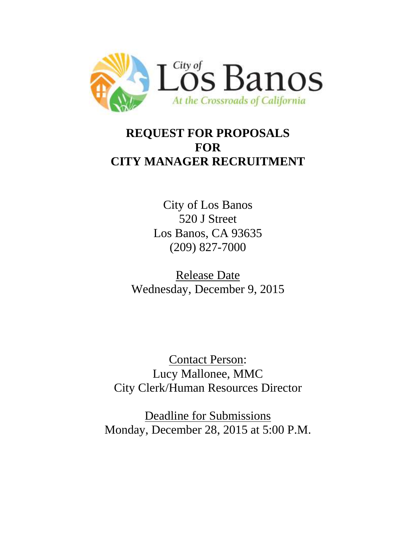

# **REQUEST FOR PROPOSALS FOR CITY MANAGER RECRUITMENT**

City of Los Banos 520 J Street Los Banos, CA 93635 (209) 827-7000

Release Date Wednesday, December 9, 2015

Contact Person: Lucy Mallonee, MMC City Clerk/Human Resources Director

Deadline for Submissions Monday, December 28, 2015 at 5:00 P.M.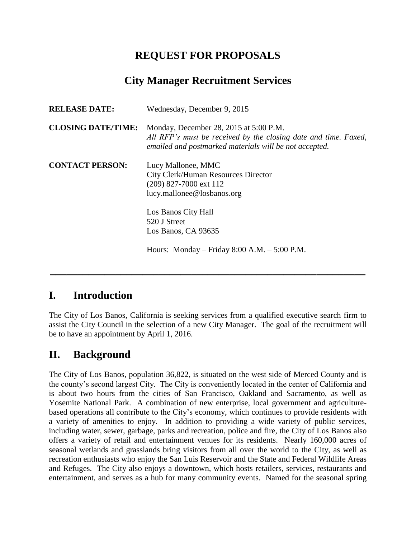## **REQUEST FOR PROPOSALS**

## **City Manager Recruitment Services**

| <b>RELEASE DATE:</b>      | Wednesday, December 9, 2015                                                                                                                                         |
|---------------------------|---------------------------------------------------------------------------------------------------------------------------------------------------------------------|
| <b>CLOSING DATE/TIME:</b> | Monday, December 28, 2015 at 5:00 P.M.<br>All RFP's must be received by the closing date and time. Faxed,<br>emailed and postmarked materials will be not accepted. |
| <b>CONTACT PERSON:</b>    | Lucy Mallonee, MMC<br>City Clerk/Human Resources Director<br>(209) 827-7000 ext 112<br>lucy.mallonee@losbanos.org                                                   |
|                           | Los Banos City Hall<br>520 J Street<br>Los Banos, CA 93635                                                                                                          |
|                           | Hours: Monday – Friday 8:00 A.M. – $5:00$ P.M.                                                                                                                      |

#### **I. Introduction**

The City of Los Banos, California is seeking services from a qualified executive search firm to assist the City Council in the selection of a new City Manager. The goal of the recruitment will be to have an appointment by April 1, 2016.

**\_\_\_\_\_\_\_\_\_\_\_\_\_\_\_\_\_\_\_\_\_\_\_\_\_\_\_\_\_\_\_\_\_\_\_\_\_\_\_\_\_\_\_\_\_\_\_\_\_\_\_\_\_\_\_\_\_\_**

## **II. Background**

The City of Los Banos, population 36,822, is situated on the west side of Merced County and is the county's second largest City. The City is conveniently located in the center of California and is about two hours from the cities of San Francisco, Oakland and Sacramento, as well as Yosemite National Park. A combination of new enterprise, local government and agriculturebased operations all contribute to the City's economy, which continues to provide residents with a variety of amenities to enjoy. In addition to providing a wide variety of public services, including water, sewer, garbage, parks and recreation, police and fire, the City of Los Banos also offers a variety of retail and entertainment venues for its residents. Nearly 160,000 acres of seasonal wetlands and grasslands bring visitors from all over the world to the City, as well as recreation enthusiasts who enjoy the San Luis Reservoir and the State and Federal Wildlife Areas and Refuges. The City also enjoys a downtown, which hosts retailers, services, restaurants and entertainment, and serves as a hub for many community events. Named for the seasonal spring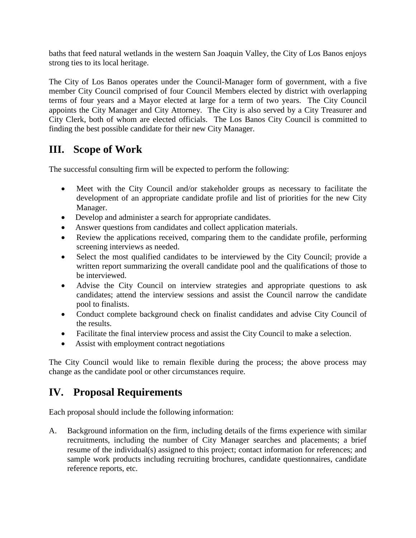baths that feed natural wetlands in the western San Joaquin Valley, the City of Los Banos enjoys strong ties to its local heritage.

The City of Los Banos operates under the Council-Manager form of government, with a five member City Council comprised of four Council Members elected by district with overlapping terms of four years and a Mayor elected at large for a term of two years. The City Council appoints the City Manager and City Attorney. The City is also served by a City Treasurer and City Clerk, both of whom are elected officials. The Los Banos City Council is committed to finding the best possible candidate for their new City Manager.

### **III. Scope of Work**

The successful consulting firm will be expected to perform the following:

- Meet with the City Council and/or stakeholder groups as necessary to facilitate the development of an appropriate candidate profile and list of priorities for the new City Manager.
- Develop and administer a search for appropriate candidates.
- Answer questions from candidates and collect application materials.
- Review the applications received, comparing them to the candidate profile, performing screening interviews as needed.
- Select the most qualified candidates to be interviewed by the City Council; provide a written report summarizing the overall candidate pool and the qualifications of those to be interviewed.
- Advise the City Council on interview strategies and appropriate questions to ask candidates; attend the interview sessions and assist the Council narrow the candidate pool to finalists.
- Conduct complete background check on finalist candidates and advise City Council of the results.
- Facilitate the final interview process and assist the City Council to make a selection.
- Assist with employment contract negotiations

The City Council would like to remain flexible during the process; the above process may change as the candidate pool or other circumstances require.

#### **IV. Proposal Requirements**

Each proposal should include the following information:

A. Background information on the firm, including details of the firms experience with similar recruitments, including the number of City Manager searches and placements; a brief resume of the individual(s) assigned to this project; contact information for references; and sample work products including recruiting brochures, candidate questionnaires, candidate reference reports, etc.